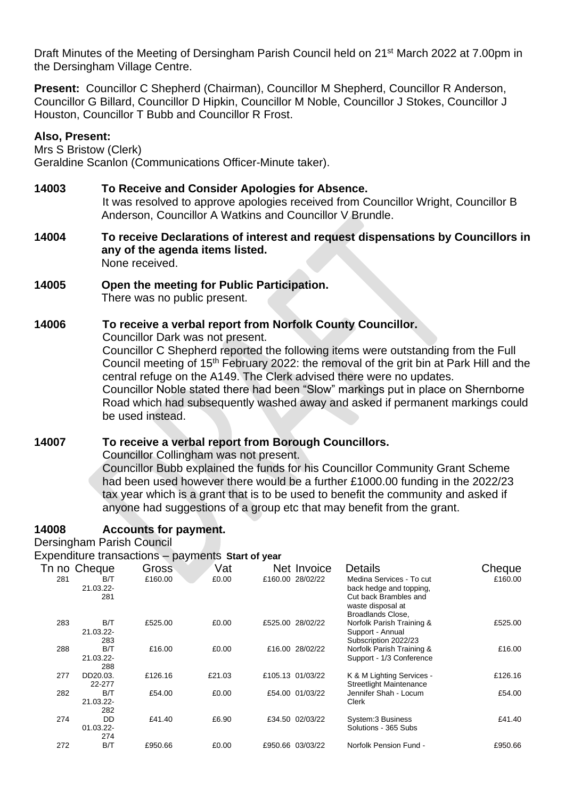Draft Minutes of the Meeting of Dersingham Parish Council held on 21<sup>st</sup> March 2022 at 7.00pm in the Dersingham Village Centre.

**Present:** Councillor C Shepherd (Chairman), Councillor M Shepherd, Councillor R Anderson, Councillor G Billard, Councillor D Hipkin, Councillor M Noble, Councillor J Stokes, Councillor J Houston, Councillor T Bubb and Councillor R Frost.

### **Also, Present:**

Mrs S Bristow (Clerk) Geraldine Scanlon (Communications Officer-Minute taker).

- **14003 To Receive and Consider Apologies for Absence.** It was resolved to approve apologies received from Councillor Wright, Councillor B Anderson, Councillor A Watkins and Councillor V Brundle.
- **14004 To receive Declarations of interest and request dispensations by Councillors in any of the agenda items listed.** None received.
- **14005 Open the meeting for Public Participation.**  There was no public present.

# **14006 To receive a verbal report from Norfolk County Councillor.**

Councillor Dark was not present.

Councillor C Shepherd reported the following items were outstanding from the Full Council meeting of 15<sup>th</sup> February 2022: the removal of the grit bin at Park Hill and the central refuge on the A149. The Clerk advised there were no updates.

Councillor Noble stated there had been "Slow" markings put in place on Shernborne Road which had subsequently washed away and asked if permanent markings could be used instead.

# **14007 To receive a verbal report from Borough Councillors.**

Councillor Collingham was not present.

Councillor Bubb explained the funds for his Councillor Community Grant Scheme had been used however there would be a further £1000.00 funding in the 2022/23 tax year which is a grant that is to be used to benefit the community and asked if anyone had suggestions of a group etc that may benefit from the grant.

# **14008 Accounts for payment.**

Dersingham Parish Council

Expenditure transactions – payments **Start of year** 

|     | Tn no Cheque            | Gross   | Vat    | Net Invoice      | <b>Details</b>                                                                                                         | Cheque  |
|-----|-------------------------|---------|--------|------------------|------------------------------------------------------------------------------------------------------------------------|---------|
| 281 | B/T<br>21.03.22-<br>281 | £160.00 | £0.00  | £160.00 28/02/22 | Medina Services - To cut<br>back hedge and topping,<br>Cut back Brambles and<br>waste disposal at<br>Broadlands Close, | £160.00 |
| 283 | B/T<br>21.03.22-<br>283 | £525.00 | £0.00  | £525.00 28/02/22 | Norfolk Parish Training &<br>Support - Annual<br>Subscription 2022/23                                                  | £525.00 |
| 288 | B/T<br>21.03.22-<br>288 | £16.00  | £0.00  | £16.00 28/02/22  | Norfolk Parish Training &<br>Support - 1/3 Conference                                                                  | £16.00  |
| 277 | DD20.03.<br>22-277      | £126.16 | £21.03 | £105.13 01/03/22 | K & M Lighting Services -<br><b>Streetlight Maintenance</b>                                                            | £126.16 |
| 282 | B/T<br>21.03.22-<br>282 | £54.00  | £0.00  | £54.00 01/03/22  | Jennifer Shah - Locum<br>Clerk                                                                                         | £54.00  |
| 274 | DD<br>01.03.22-<br>274  | £41.40  | £6.90  | £34.50 02/03/22  | System:3 Business<br>Solutions - 365 Subs                                                                              | £41.40  |
| 272 | B/T                     | £950.66 | £0.00  | £950.66 03/03/22 | Norfolk Pension Fund -                                                                                                 | £950.66 |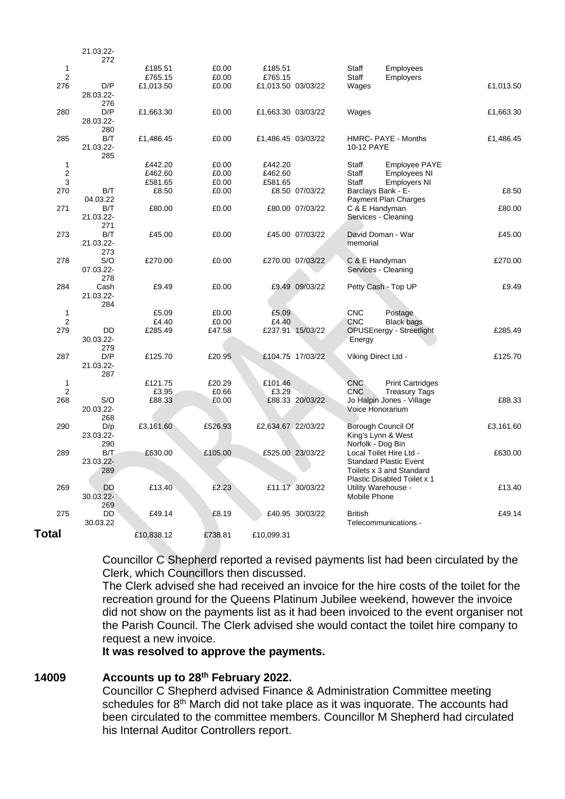|                | 21.03.22-        |                |                 |                    |                  |                          |                                                      |           |
|----------------|------------------|----------------|-----------------|--------------------|------------------|--------------------------|------------------------------------------------------|-----------|
|                | 272              |                |                 |                    |                  |                          |                                                      |           |
| $\mathbf{1}$   |                  | £185.51        | £0.00           | £185.51            |                  | Staff                    | Employees                                            |           |
| 2<br>276       | D/P              | £765.15        | £0.00           | £765.15            |                  | Staff                    | Employers                                            |           |
|                | 28.03.22-        | £1,013.50      | £0.00           | £1,013.50 03/03/22 |                  | Wages                    |                                                      | £1,013.50 |
|                | 276              |                |                 |                    |                  |                          |                                                      |           |
| 280            | D/P              | £1,663.30      | £0.00           | £1,663.30 03/03/22 |                  | Wages                    |                                                      | £1,663.30 |
|                | 28.03.22-        |                |                 |                    |                  |                          |                                                      |           |
|                | 280              |                |                 |                    |                  |                          |                                                      |           |
| 285            | B/T              | £1,486.45      | £0.00           | £1,486.45 03/03/22 |                  |                          | HMRC- PAYE - Months                                  | £1,486.45 |
|                | 21.03.22-        |                |                 |                    |                  | 10-12 PAYE               |                                                      |           |
|                | 285              |                |                 |                    |                  |                          |                                                      |           |
| 1              |                  | £442.20        | £0.00           | £442.20            |                  | Staff                    | <b>Employee PAYE</b>                                 |           |
| $\overline{c}$ |                  | £462.60        | £0.00           | £462.60            |                  | Staff                    | Employees NI                                         |           |
| 3              |                  | £581.65        | £0.00           | £581.65            |                  | <b>Staff</b>             | <b>Employers NI</b>                                  |           |
| 270            | B/T              | £8.50          | £0.00           |                    | £8.50 07/03/22   |                          | Barclays Bank - E-<br>Payment Plan Charges           | £8.50     |
| 271            | 04.03.22<br>B/T  | £80.00         | £0.00           |                    | £80.00 07/03/22  |                          | C & E Handyman                                       | £80.00    |
|                | 21.03.22-        |                |                 |                    |                  |                          | Services - Cleaning                                  |           |
|                | 271              |                |                 |                    |                  |                          |                                                      |           |
| 273            | B/T              | £45.00         | £0.00           |                    | £45.00 07/03/22  |                          | David Doman - War                                    | £45.00    |
|                | 21.03.22-        |                |                 |                    |                  | memorial                 |                                                      |           |
|                | 273              |                |                 |                    |                  |                          |                                                      |           |
| 278            | S/O              | £270.00        | £0.00           |                    | £270.00 07/03/22 |                          | C & E Handyman                                       | £270.00   |
|                | 07.03.22-        |                |                 |                    |                  |                          | Services - Cleaning                                  |           |
|                | 278              |                |                 |                    |                  |                          |                                                      |           |
| 284            | Cash             | £9.49          | £0.00           |                    | £9.49 09/03/22   |                          | Petty Cash - Top UP                                  | £9.49     |
|                | 21.03.22-        |                |                 |                    |                  |                          |                                                      |           |
|                | 284              |                |                 |                    |                  |                          |                                                      |           |
| 1<br>2         |                  | £5.09<br>£4.40 | £0.00           | £5.09<br>£4.40     |                  | <b>CNC</b><br><b>CNC</b> | Postage                                              |           |
| 279            | DD               | £285.49        | £0.00<br>£47.58 |                    | £237.91 15/03/22 |                          | <b>Black bags</b><br><b>OPUSEnergy - Streetlight</b> | £285.49   |
|                | 30.03.22-        |                |                 |                    |                  | Energy                   |                                                      |           |
|                | 279              |                |                 |                    |                  |                          |                                                      |           |
| 287            | D/P              | £125.70        | £20.95          |                    | £104.75 17/03/22 |                          | Viking Direct Ltd -                                  | £125.70   |
|                | 21.03.22-        |                |                 |                    |                  |                          |                                                      |           |
|                | 287              |                |                 |                    |                  |                          |                                                      |           |
| $\mathbf{1}$   |                  | £121.75        | £20.29          | £101.46            |                  | <b>CNC</b>               | <b>Print Cartridges</b>                              |           |
| $\overline{2}$ |                  | £3.95          | £0.66           | £3.29              |                  | <b>CNC</b>               | <b>Treasury Tags</b>                                 |           |
| 268            | S/O              | £88.33         | £0.00           |                    | £88.33 20/03/22  |                          | Jo Halpin Jones - Village                            | £88.33    |
|                | 20.03.22-        |                |                 |                    |                  |                          | Voice Honorarium                                     |           |
|                | 268              |                |                 |                    |                  |                          |                                                      |           |
| 290            | D/p<br>23.03.22- | £3,161.60      | £526.93         | £2,634.67 22/03/22 |                  |                          | Borough Council Of<br>King's Lynn & West             | £3,161.60 |
|                | 290              |                |                 |                    |                  |                          | Norfolk - Dog Bin                                    |           |
| 289            | B/T              | £630.00        | £105.00         |                    | £525.00 23/03/22 |                          | Local Toilet Hire Ltd -                              | £630.00   |
|                | 23.03.22-        |                |                 |                    |                  |                          | <b>Standard Plastic Event</b>                        |           |
|                | 289              |                |                 |                    |                  |                          | Toilets x 3 and Standard                             |           |
|                |                  |                |                 |                    |                  |                          | Plastic Disabled Toilet x 1                          |           |
| 269            | <b>DD</b>        | £13.40         | £2.23           |                    | £11.17 30/03/22  |                          | Utility Warehouse -                                  | £13.40    |
|                | 30.03.22-        |                |                 |                    |                  | Mobile Phone             |                                                      |           |
|                | 269              |                |                 |                    |                  |                          |                                                      |           |
| 275            | <b>DD</b>        | £49.14         | £8.19           |                    | £40.95 30/03/22  | <b>British</b>           |                                                      | £49.14    |
|                | 30.03.22         |                |                 |                    |                  |                          | Telecommunications -                                 |           |
| Total          |                  | £10,838.12     | £738.81         | £10,099.31         |                  |                          |                                                      |           |
|                |                  |                |                 |                    |                  |                          |                                                      |           |

Councillor C Shepherd reported a revised payments list had been circulated by the Clerk, which Councillors then discussed.

The Clerk advised she had received an invoice for the hire costs of the toilet for the recreation ground for the Queens Platinum Jubilee weekend, however the invoice did not show on the payments list as it had been invoiced to the event organiser not the Parish Council. The Clerk advised she would contact the toilet hire company to request a new invoice.

**It was resolved to approve the payments.**

#### **14009 Accounts up to 28th February 2022.**

Councillor C Shepherd advised Finance & Administration Committee meeting schedules for 8<sup>th</sup> March did not take place as it was inquorate. The accounts had been circulated to the committee members. Councillor M Shepherd had circulated his Internal Auditor Controllers report.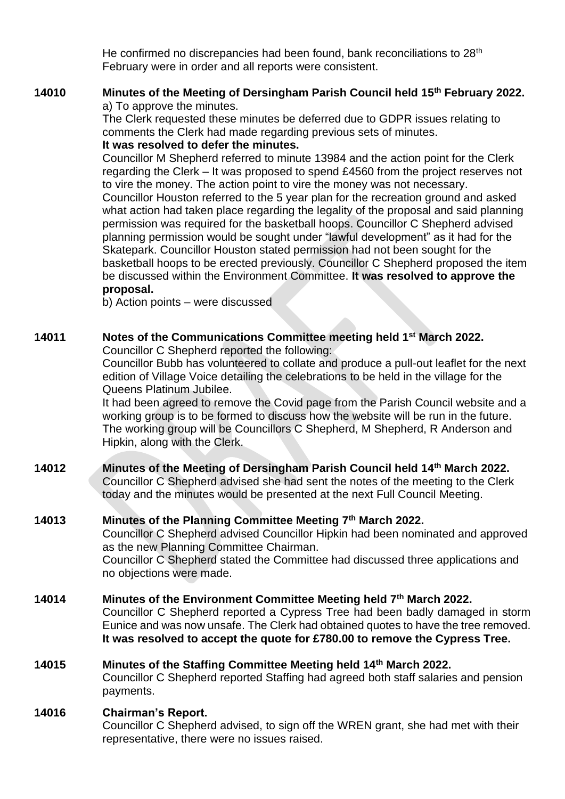He confirmed no discrepancies had been found, bank reconciliations to 28<sup>th</sup> February were in order and all reports were consistent.

### **14010 Minutes of the Meeting of Dersingham Parish Council held 15th February 2022.**  a) To approve the minutes.

The Clerk requested these minutes be deferred due to GDPR issues relating to comments the Clerk had made regarding previous sets of minutes.

### **It was resolved to defer the minutes.**

Councillor M Shepherd referred to minute 13984 and the action point for the Clerk regarding the Clerk – It was proposed to spend £4560 from the project reserves not to vire the money. The action point to vire the money was not necessary.

Councillor Houston referred to the 5 year plan for the recreation ground and asked what action had taken place regarding the legality of the proposal and said planning permission was required for the basketball hoops. Councillor C Shepherd advised planning permission would be sought under "lawful development" as it had for the Skatepark. Councillor Houston stated permission had not been sought for the basketball hoops to be erected previously. Councillor C Shepherd proposed the item be discussed within the Environment Committee. **It was resolved to approve the proposal.**

b) Action points – were discussed

# **14011 Notes of the Communications Committee meeting held 1 st March 2022.**

Councillor C Shepherd reported the following:

Councillor Bubb has volunteered to collate and produce a pull-out leaflet for the next edition of Village Voice detailing the celebrations to be held in the village for the Queens Platinum Jubilee.

It had been agreed to remove the Covid page from the Parish Council website and a working group is to be formed to discuss how the website will be run in the future. The working group will be Councillors C Shepherd, M Shepherd, R Anderson and Hipkin, along with the Clerk.

### **14012 Minutes of the Meeting of Dersingham Parish Council held 14th March 2022.** Councillor C Shepherd advised she had sent the notes of the meeting to the Clerk today and the minutes would be presented at the next Full Council Meeting.

# **14013 Minutes of the Planning Committee Meeting 7th March 2022.**

Councillor C Shepherd advised Councillor Hipkin had been nominated and approved as the new Planning Committee Chairman. Councillor C Shepherd stated the Committee had discussed three applications and no objections were made.

# **14014 Minutes of the Environment Committee Meeting held 7th March 2022.**

Councillor C Shepherd reported a Cypress Tree had been badly damaged in storm Eunice and was now unsafe. The Clerk had obtained quotes to have the tree removed. **It was resolved to accept the quote for £780.00 to remove the Cypress Tree.**

# **14015 Minutes of the Staffing Committee Meeting held 14th March 2022.**

Councillor C Shepherd reported Staffing had agreed both staff salaries and pension payments.

# **14016 Chairman's Report.**

Councillor C Shepherd advised, to sign off the WREN grant, she had met with their representative, there were no issues raised.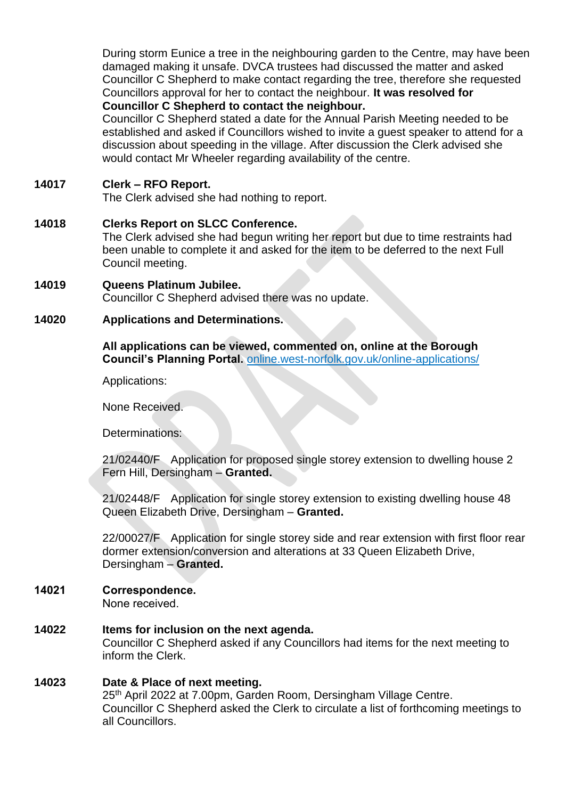During storm Eunice a tree in the neighbouring garden to the Centre, may have been damaged making it unsafe. DVCA trustees had discussed the matter and asked Councillor C Shepherd to make contact regarding the tree, therefore she requested Councillors approval for her to contact the neighbour. **It was resolved for Councillor C Shepherd to contact the neighbour.**

Councillor C Shepherd stated a date for the Annual Parish Meeting needed to be established and asked if Councillors wished to invite a guest speaker to attend for a discussion about speeding in the village. After discussion the Clerk advised she would contact Mr Wheeler regarding availability of the centre.

### **14017 Clerk – RFO Report.**

The Clerk advised she had nothing to report.

# **14018 Clerks Report on SLCC Conference.**

The Clerk advised she had begun writing her report but due to time restraints had been unable to complete it and asked for the item to be deferred to the next Full Council meeting.

**14019 Queens Platinum Jubilee.** Councillor C Shepherd advised there was no update.

### **14020 Applications and Determinations.**

**All applications can be viewed, commented on, online at the Borough Council's Planning Portal.** online.west-norfolk.gov.uk/online-applications/

Applications:

None Received.

Determinations:

21/02440/F Application for proposed single storey extension to dwelling house 2 Fern Hill, Dersingham – **Granted.**

21/02448/F Application for single storey extension to existing dwelling house 48 Queen Elizabeth Drive, Dersingham – **Granted.**

22/00027/F Application for single storey side and rear extension with first floor rear dormer extension/conversion and alterations at 33 Queen Elizabeth Drive, Dersingham – **Granted.**

### **14021 Correspondence.**

None received.

**14022 Items for inclusion on the next agenda.**  Councillor C Shepherd asked if any Councillors had items for the next meeting to inform the Clerk.

### **14023 Date & Place of next meeting.**  25th April 2022 at 7.00pm, Garden Room, Dersingham Village Centre. Councillor C Shepherd asked the Clerk to circulate a list of forthcoming meetings to

all Councillors.